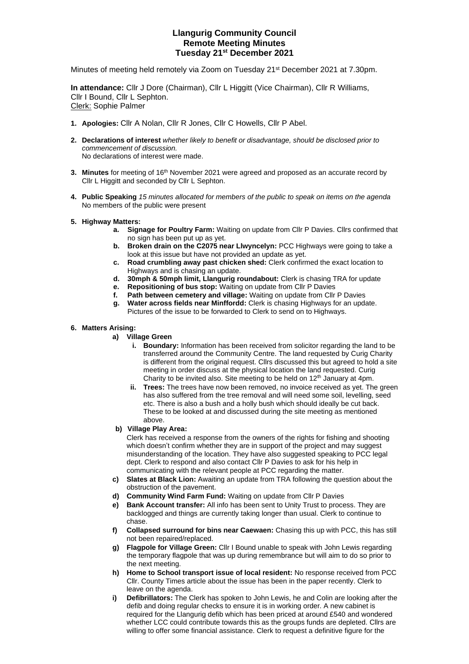## **Llangurig Community Council Remote Meeting Minutes Tuesday 21st December 2021**

Minutes of meeting held remotely via Zoom on Tuesday 21st December 2021 at 7.30pm.

**In attendance:** Cllr J Dore (Chairman), Cllr L Higgitt (Vice Chairman), Cllr R Williams, Cllr I Bound, Cllr L Sephton. Clerk: Sophie Palmer

- **1. Apologies:** Cllr A Nolan, Cllr R Jones, Cllr C Howells, Cllr P Abel.
- **2. Declarations of interest** *whether likely to benefit or disadvantage, should be disclosed prior to commencement of discussion.*  No declarations of interest were made.
- **3. Minutes** for meeting of 16<sup>th</sup> November 2021 were agreed and proposed as an accurate record by Cllr L Higgitt and seconded by Cllr L Sephton.
- **4. Public Speaking** *15 minutes allocated for members of the public to speak on items on the agenda* No members of the public were present
- **5. Highway Matters:** 
	- **a. Signage for Poultry Farm:** Waiting on update from Cllr P Davies. Cllrs confirmed that no sign has been put up as yet.
	- **b. Broken drain on the C2075 near Llwyncelyn:** PCC Highways were going to take a look at this issue but have not provided an update as yet.
	- **c. Road crumbling away past chicken shed:** Clerk confirmed the exact location to Highways and is chasing an update.
	- **d. 30mph & 50mph limit, Llangurig roundabout:** Clerk is chasing TRA for update
	- **e. Repositioning of bus stop:** Waiting on update from Cllr P Davies
	- **f. Path between cemetery and village:** Waiting on update from Cllr P Davies
	- **g. Water across fields near Minffordd:** Clerk is chasing Highways for an update. Pictures of the issue to be forwarded to Clerk to send on to Highways.
- **6. Matters Arising:** 
	- **a) Village Green**
		- **i. Boundary:** Information has been received from solicitor regarding the land to be transferred around the Community Centre. The land requested by Curig Charity is different from the original request. Cllrs discussed this but agreed to hold a site meeting in order discuss at the physical location the land requested. Curig Charity to be invited also. Site meeting to be held on  $12<sup>th</sup>$  January at 4pm.
		- **ii. Trees:** The trees have now been removed, no invoice received as yet. The green has also suffered from the tree removal and will need some soil, levelling, seed etc. There is also a bush and a holly bush which should ideally be cut back. These to be looked at and discussed during the site meeting as mentioned above.
	- **b) Village Play Area:**

Clerk has received a response from the owners of the rights for fishing and shooting which doesn't confirm whether they are in support of the project and may suggest misunderstanding of the location. They have also suggested speaking to PCC legal dept. Clerk to respond and also contact Cllr P Davies to ask for his help in communicating with the relevant people at PCC regarding the matter.

- **c) Slates at Black Lion:** Awaiting an update from TRA following the question about the obstruction of the pavement.
- **d) Community Wind Farm Fund:** Waiting on update from Cllr P Davies
- **e) Bank Account transfer:** All info has been sent to Unity Trust to process. They are backlogged and things are currently taking longer than usual. Clerk to continue to chase.
- **f) Collapsed surround for bins near Caewaen:** Chasing this up with PCC, this has still not been repaired/replaced.
- **g) Flagpole for Village Green:** Cllr I Bound unable to speak with John Lewis regarding the temporary flagpole that was up during remembrance but will aim to do so prior to the next meeting.
- **h) Home to School transport issue of local resident:** No response received from PCC Cllr. County Times article about the issue has been in the paper recently. Clerk to leave on the agenda.
- **i) Defibrillators:** The Clerk has spoken to John Lewis, he and Colin are looking after the defib and doing regular checks to ensure it is in working order. A new cabinet is required for the Llangurig defib which has been priced at around £540 and wondered whether LCC could contribute towards this as the groups funds are depleted. Cllrs are willing to offer some financial assistance. Clerk to request a definitive figure for the